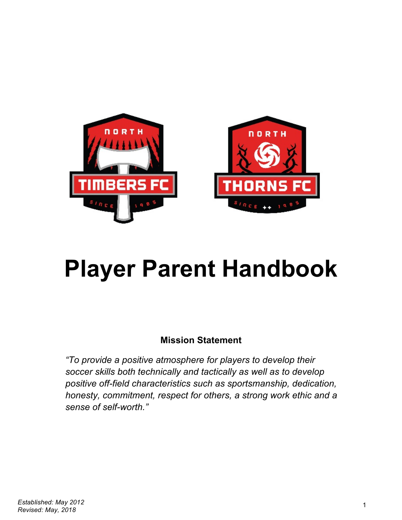

# **Player Parent Handbook**

# **Mission Statement**

*"To provide a positive atmosphere for players to develop their soccer skills both technically and tactically as well as to develop positive off-field characteristics such as sportsmanship, dedication, honesty, commitment, respect for others, a strong work ethic and a sense of self-worth."*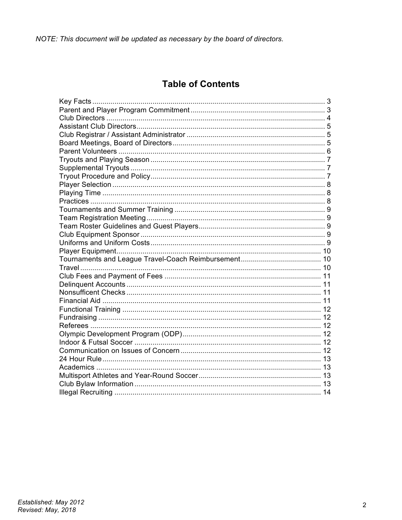NOTE: This document will be updated as necessary by the board of directors.

# **Table of Contents**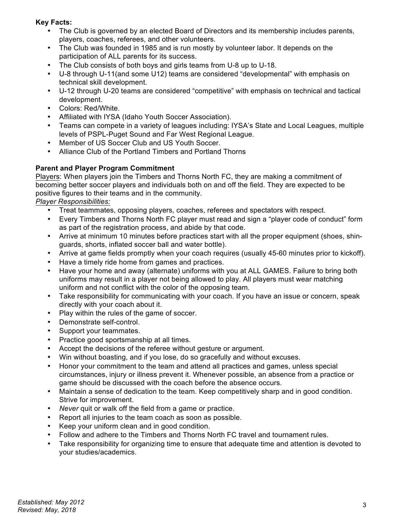# **Key Facts:**

- The Club is governed by an elected Board of Directors and its membership includes parents, players, coaches, referees, and other volunteers.
- The Club was founded in 1985 and is run mostly by volunteer labor. It depends on the participation of ALL parents for its success.
- The Club consists of both boys and girls teams from U-8 up to U-18.
- U-8 through U-11(and some U12) teams are considered "developmental" with emphasis on technical skill development.
- U-12 through U-20 teams are considered "competitive" with emphasis on technical and tactical development.
- Colors: Red/White.
- Affiliated with IYSA (Idaho Youth Soccer Association).
- Teams can compete in a variety of leagues including: IYSA's State and Local Leagues, multiple levels of PSPL-Puget Sound and Far West Regional League.
- Member of US Soccer Club and US Youth Soccer.
- Alliance Club of the Portland Timbers and Portland Thorns

# **Parent and Player Program Commitment**

Players: When players join the Timbers and Thorns North FC, they are making a commitment of becoming better soccer players and individuals both on and off the field. They are expected to be positive figures to their teams and in the community.

*Player Responsibilities:*

- Treat teammates, opposing players, coaches, referees and spectators with respect.
- Every Timbers and Thorns North FC player must read and sign a "player code of conduct" form as part of the registration process, and abide by that code.
- Arrive at minimum 10 minutes before practices start with all the proper equipment (shoes, shinguards, shorts, inflated soccer ball and water bottle).
- Arrive at game fields promptly when your coach requires (usually 45-60 minutes prior to kickoff).
- Have a timely ride home from games and practices.
- Have your home and away (alternate) uniforms with you at ALL GAMES. Failure to bring both uniforms may result in a player not being allowed to play. All players must wear matching uniform and not conflict with the color of the opposing team.
- Take responsibility for communicating with your coach. If you have an issue or concern, speak directly with your coach about it.
- Play within the rules of the game of soccer.
- Demonstrate self-control.
- Support your teammates.
- Practice good sportsmanship at all times.
- Accept the decisions of the referee without gesture or argument.
- Win without boasting, and if you lose, do so gracefully and without excuses.
- Honor your commitment to the team and attend all practices and games, unless special circumstances, injury or illness prevent it. Whenever possible, an absence from a practice or game should be discussed with the coach before the absence occurs.
- Maintain a sense of dedication to the team. Keep competitively sharp and in good condition. Strive for improvement.
- *Never* quit or walk off the field from a game or practice.
- Report all injuries to the team coach as soon as possible.
- Keep your uniform clean and in good condition.
- Follow and adhere to the Timbers and Thorns North FC travel and tournament rules.
- Take responsibility for organizing time to ensure that adequate time and attention is devoted to your studies/academics.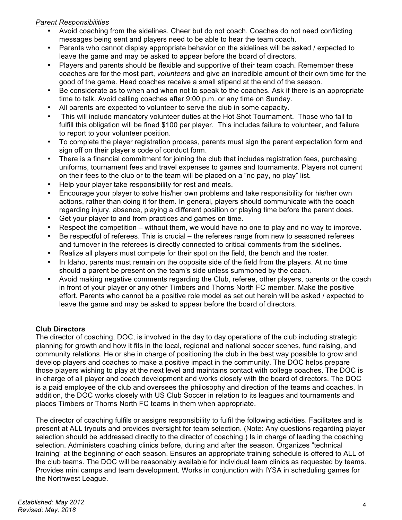# *Parent Responsibilities*

- Avoid coaching from the sidelines. Cheer but do not coach. Coaches do not need conflicting messages being sent and players need to be able to hear the team coach.
- Parents who cannot display appropriate behavior on the sidelines will be asked / expected to leave the game and may be asked to appear before the board of directors.
- Players and parents should be flexible and supportive of their team coach. Remember these coaches are for the most part, *volunteers* and give an incredible amount of their own time for the good of the game. Head coaches receive a small stipend at the end of the season.
- Be considerate as to when and when not to speak to the coaches. Ask if there is an appropriate time to talk. Avoid calling coaches after 9:00 p.m. or any time on Sunday.
- All parents are expected to volunteer to serve the club in some capacity.
- This will include mandatory volunteer duties at the Hot Shot Tournament. Those who fail to fulfill this obligation will be fined \$100 per player. This includes failure to volunteer, and failure to report to your volunteer position.
- To complete the player registration process, parents must sign the parent expectation form and sign off on their player's code of conduct form.
- There is a financial commitment for joining the club that includes registration fees, purchasing uniforms, tournament fees and travel expenses to games and tournaments. Players not current on their fees to the club or to the team will be placed on a "no pay, no play" list.
- Help your player take responsibility for rest and meals.
- Encourage your player to solve his/her own problems and take responsibility for his/her own actions, rather than doing it for them. In general, players should communicate with the coach regarding injury, absence, playing a different position or playing time before the parent does.
- Get your player to and from practices and games on time.
- Respect the competition without them, we would have no one to play and no way to improve.
- Be respectful of referees. This is crucial the referees range from new to seasoned referees and turnover in the referees is directly connected to critical comments from the sidelines.
- Realize all players must compete for their spot on the field, the bench and the roster.
- In Idaho, parents must remain on the opposite side of the field from the players. At no time should a parent be present on the team's side unless summoned by the coach.
- Avoid making negative comments regarding the Club, referee, other players, parents or the coach in front of your player or any other Timbers and Thorns North FC member. Make the positive effort. Parents who cannot be a positive role model as set out herein will be asked / expected to leave the game and may be asked to appear before the board of directors.

# **Club Directors**

The director of coaching, DOC, is involved in the day to day operations of the club including strategic planning for growth and how it fits in the local, regional and national soccer scenes, fund raising, and community relations. He or she in charge of positioning the club in the best way possible to grow and develop players and coaches to make a positive impact in the community. The DOC helps prepare those players wishing to play at the next level and maintains contact with college coaches. The DOC is in charge of all player and coach development and works closely with the board of directors. The DOC is a paid employee of the club and oversees the philosophy and direction of the teams and coaches. In addition, the DOC works closely with US Club Soccer in relation to its leagues and tournaments and places Timbers or Thorns North FC teams in them when appropriate.

The director of coaching fulfils or assigns responsibility to fulfil the following activities. Facilitates and is present at ALL tryouts and provides oversight for team selection. (Note: Any questions regarding player selection should be addressed directly to the director of coaching.) Is in charge of leading the coaching selection. Administers coaching clinics before, during and after the season. Organizes "technical training" at the beginning of each season. Ensures an appropriate training schedule is offered to ALL of the club teams. The DOC will be reasonably available for individual team clinics as requested by teams. Provides mini camps and team development. Works in conjunction with IYSA in scheduling games for the Northwest League.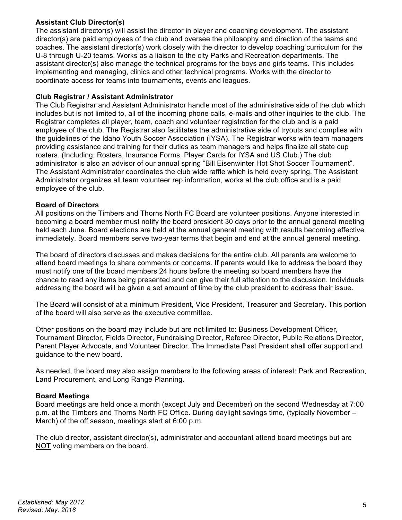# **Assistant Club Director(s)**

The assistant director(s) will assist the director in player and coaching development. The assistant director(s) are paid employees of the club and oversee the philosophy and direction of the teams and coaches. The assistant director(s) work closely with the director to develop coaching curriculum for the U-8 through U-20 teams. Works as a liaison to the city Parks and Recreation departments. The assistant director(s) also manage the technical programs for the boys and girls teams. This includes implementing and managing, clinics and other technical programs. Works with the director to coordinate access for teams into tournaments, events and leagues.

# **Club Registrar / Assistant Administrator**

The Club Registrar and Assistant Administrator handle most of the administrative side of the club which includes but is not limited to, all of the incoming phone calls, e-mails and other inquiries to the club. The Registrar completes all player, team, coach and volunteer registration for the club and is a paid employee of the club. The Registrar also facilitates the administrative side of tryouts and complies with the guidelines of the Idaho Youth Soccer Association (IYSA). The Registrar works with team managers providing assistance and training for their duties as team managers and helps finalize all state cup rosters. (Including: Rosters, Insurance Forms, Player Cards for IYSA and US Club.) The club administrator is also an advisor of our annual spring "Bill Eisenwinter Hot Shot Soccer Tournament". The Assistant Administrator coordinates the club wide raffle which is held every spring. The Assistant Administrator organizes all team volunteer rep information, works at the club office and is a paid employee of the club.

# **Board of Directors**

All positions on the Timbers and Thorns North FC Board are volunteer positions. Anyone interested in becoming a board member must notify the board president 30 days prior to the annual general meeting held each June. Board elections are held at the annual general meeting with results becoming effective immediately. Board members serve two-year terms that begin and end at the annual general meeting.

The board of directors discusses and makes decisions for the entire club. All parents are welcome to attend board meetings to share comments or concerns. If parents would like to address the board they must notify one of the board members 24 hours before the meeting so board members have the chance to read any items being presented and can give their full attention to the discussion. Individuals addressing the board will be given a set amount of time by the club president to address their issue.

The Board will consist of at a minimum President, Vice President, Treasurer and Secretary. This portion of the board will also serve as the executive committee.

Other positions on the board may include but are not limited to: Business Development Officer, Tournament Director, Fields Director, Fundraising Director, Referee Director, Public Relations Director, Parent Player Advocate, and Volunteer Director. The Immediate Past President shall offer support and guidance to the new board.

As needed, the board may also assign members to the following areas of interest: Park and Recreation, Land Procurement, and Long Range Planning.

# **Board Meetings**

Board meetings are held once a month (except July and December) on the second Wednesday at 7:00 p.m. at the Timbers and Thorns North FC Office. During daylight savings time, (typically November – March) of the off season, meetings start at 6:00 p.m.

The club director, assistant director(s), administrator and accountant attend board meetings but are NOT voting members on the board.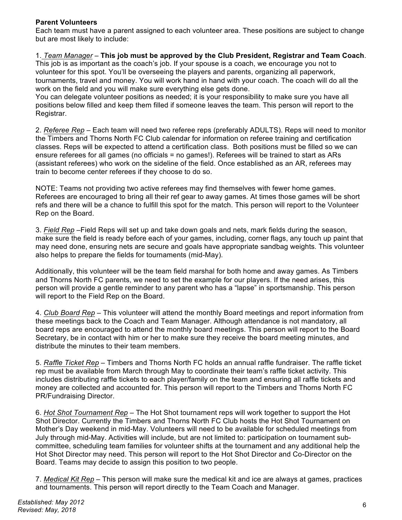# **Parent Volunteers**

Each team must have a parent assigned to each volunteer area. These positions are subject to change but are most likely to include:

# 1. *Team Manager* – **This job must be approved by the Club President, Registrar and Team Coach**.

This job is as important as the coach's job. If your spouse is a coach, we encourage you not to volunteer for this spot. You'll be overseeing the players and parents, organizing all paperwork, tournaments, travel and money. You will work hand in hand with your coach. The coach will do all the work on the field and you will make sure everything else gets done.

You can delegate volunteer positions as needed; it is your responsibility to make sure you have all positions below filled and keep them filled if someone leaves the team. This person will report to the Registrar.

2. *Referee Rep* – Each team will need two referee reps (preferably ADULTS). Reps will need to monitor the Timbers and Thorns North FC Club calendar for information on referee training and certification classes. Reps will be expected to attend a certification class. Both positions must be filled so we can ensure referees for all games (no officials = no games!). Referees will be trained to start as ARs (assistant referees) who work on the sideline of the field. Once established as an AR, referees may train to become center referees if they choose to do so.

NOTE: Teams not providing two active referees may find themselves with fewer home games. Referees are encouraged to bring all their ref gear to away games. At times those games will be short refs and there will be a chance to fulfill this spot for the match. This person will report to the Volunteer Rep on the Board.

3. *Field Rep* –Field Reps will set up and take down goals and nets, mark fields during the season, make sure the field is ready before each of your games, including, corner flags, any touch up paint that may need done, ensuring nets are secure and goals have appropriate sandbag weights. This volunteer also helps to prepare the fields for tournaments (mid-May).

Additionally, this volunteer will be the team field marshal for both home and away games. As Timbers and Thorns North FC parents, we need to set the example for our players. If the need arises, this person will provide a gentle reminder to any parent who has a "lapse" in sportsmanship. This person will report to the Field Rep on the Board.

4. *Club Board Rep* – This volunteer will attend the monthly Board meetings and report information from these meetings back to the Coach and Team Manager. Although attendance is not mandatory, all board reps are encouraged to attend the monthly board meetings. This person will report to the Board Secretary, be in contact with him or her to make sure they receive the board meeting minutes, and distribute the minutes to their team members.

5. *Raffle Ticket Rep* – Timbers and Thorns North FC holds an annual raffle fundraiser. The raffle ticket rep must be available from March through May to coordinate their team's raffle ticket activity. This includes distributing raffle tickets to each player/family on the team and ensuring all raffle tickets and money are collected and accounted for. This person will report to the Timbers and Thorns North FC PR/Fundraising Director.

6. *Hot Shot Tournament Rep* – The Hot Shot tournament reps will work together to support the Hot Shot Director. Currently the Timbers and Thorns North FC Club hosts the Hot Shot Tournament on Mother's Day weekend in mid-May. Volunteers will need to be available for scheduled meetings from July through mid-May. Activities will include, but are not limited to: participation on tournament subcommittee, scheduling team families for volunteer shifts at the tournament and any additional help the Hot Shot Director may need. This person will report to the Hot Shot Director and Co-Director on the Board. Teams may decide to assign this position to two people.

7. *Medical Kit Rep* – This person will make sure the medical kit and ice are always at games, practices and tournaments. This person will report directly to the Team Coach and Manager.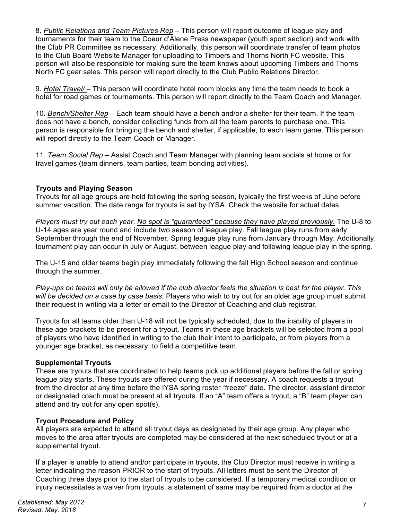8. *Public Relations and Team Pictures Rep* – This person will report outcome of league play and tournaments for their team to the Coeur d'Alene Press newspaper (youth sport section) and work with the Club PR Committee as necessary. Additionally, this person will coordinate transfer of team photos to the Club Board Website Manager for uploading to Timbers and Thorns North FC website. This person will also be responsible for making sure the team knows about upcoming Timbers and Thorns North FC gear sales. This person will report directly to the Club Public Relations Director.

9. *Hotel Travel/* – This person will coordinate hotel room blocks any time the team needs to book a hotel for road games or tournaments. This person will report directly to the Team Coach and Manager.

10. *Bench/Shelter Rep* – Each team should have a bench and/or a shelter for their team. If the team does not have a bench, consider collecting funds from all the team parents to purchase one. This person is responsible for bringing the bench and shelter, if applicable, to each team game. This person will report directly to the Team Coach or Manager.

11. *Team Social Rep* – Assist Coach and Team Manager with planning team socials at home or for travel games (team dinners, team parties, team bonding activities).

#### **Tryouts and Playing Season**

Tryouts for all age groups are held following the spring season, typically the first weeks of June before summer vacation. The date range for tryouts is set by IYSA. Check the website for actual dates.

*Players must try out each year*. *No spot is "guaranteed" because they have played previously.* The U-8 to U-14 ages are year round and include two season of league play. Fall league play runs from early September through the end of November. Spring league play runs from January through May. Additionally, tournament play can occur in July or August, between league play and following league play in the spring.

The U-15 and older teams begin play immediately following the fall High School season and continue through the summer.

*Play-ups on teams will only be allowed if the club director feels the situation is best for the player. This will be decided on a case by case basis.* Players who wish to try out for an older age group must submit their request in writing via a letter or email to the Director of Coaching and club registrar.

Tryouts for all teams older than U-18 will not be typically scheduled, due to the inability of players in these age brackets to be present for a tryout. Teams in these age brackets will be selected from a pool of players who have identified in writing to the club their intent to participate, or from players from a younger age bracket, as necessary, to field a competitive team.

# **Supplemental Tryouts**

These are tryouts that are coordinated to help teams pick up additional players before the fall or spring league play starts. These tryouts are offered during the year if necessary. A coach requests a tryout from the director at any time before the IYSA spring roster "freeze" date. The director, assistant director or designated coach must be present at all tryouts. If an "A" team offers a tryout, a "B" team player can attend and try out for any open spot(s).

#### **Tryout Procedure and Policy**

All players are expected to attend all tryout days as designated by their age group. Any player who moves to the area after tryouts are completed may be considered at the next scheduled tryout or at a supplemental tryout.

If a player is unable to attend and/or participate in tryouts, the Club Director must receive in writing a letter indicating the reason PRIOR to the start of tryouts. All letters must be sent the Director of Coaching three days prior to the start of tryouts to be considered. If a temporary medical condition or injury necessitates a waiver from tryouts, a statement of same may be required from a doctor at the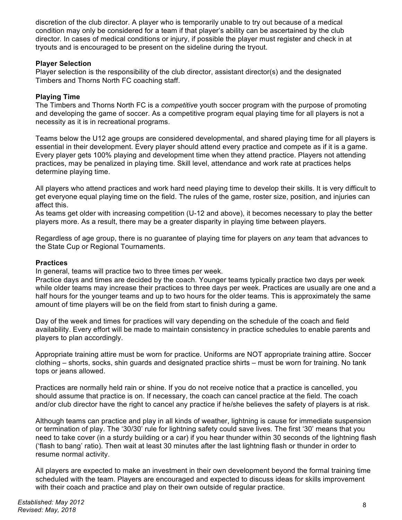discretion of the club director. A player who is temporarily unable to try out because of a medical condition may only be considered for a team if that player's ability can be ascertained by the club director. In cases of medical conditions or injury, if possible the player must register and check in at tryouts and is encouraged to be present on the sideline during the tryout.

# **Player Selection**

Player selection is the responsibility of the club director, assistant director(s) and the designated Timbers and Thorns North FC coaching staff.

# **Playing Time**

The Timbers and Thorns North FC is a *competitive* youth soccer program with the purpose of promoting and developing the game of soccer. As a competitive program equal playing time for all players is not a necessity as it is in recreational programs.

Teams below the U12 age groups are considered developmental, and shared playing time for all players is essential in their development. Every player should attend every practice and compete as if it is a game. Every player gets 100% playing and development time when they attend practice. Players not attending practices, may be penalized in playing time. Skill level, attendance and work rate at practices helps determine playing time.

All players who attend practices and work hard need playing time to develop their skills. It is very difficult to get everyone equal playing time on the field. The rules of the game, roster size, position, and injuries can affect this.

As teams get older with increasing competition (U-12 and above), it becomes necessary to play the better players more. As a result, there may be a greater disparity in playing time between players.

Regardless of age group, there is no guarantee of playing time for players on *any* team that advances to the State Cup or Regional Tournaments.

# **Practices**

In general, teams will practice two to three times per week.

Practice days and times are decided by the coach. Younger teams typically practice two days per week while older teams may increase their practices to three days per week. Practices are usually are one and a half hours for the younger teams and up to two hours for the older teams. This is approximately the same amount of time players will be on the field from start to finish during a game.

Day of the week and times for practices will vary depending on the schedule of the coach and field availability. Every effort will be made to maintain consistency in practice schedules to enable parents and players to plan accordingly.

Appropriate training attire must be worn for practice. Uniforms are NOT appropriate training attire. Soccer clothing – shorts, socks, shin guards and designated practice shirts – must be worn for training. No tank tops or jeans allowed.

Practices are normally held rain or shine. If you do not receive notice that a practice is cancelled, you should assume that practice is on. If necessary, the coach can cancel practice at the field. The coach and/or club director have the right to cancel any practice if he/she believes the safety of players is at risk.

Although teams can practice and play in all kinds of weather, lightning is cause for immediate suspension or termination of play. The '30/30' rule for lightning safety could save lives. The first '30' means that you need to take cover (in a sturdy building or a car) if you hear thunder within 30 seconds of the lightning flash ('flash to bang' ratio). Then wait at least 30 minutes after the last lightning flash or thunder in order to resume normal activity.

All players are expected to make an investment in their own development beyond the formal training time scheduled with the team. Players are encouraged and expected to discuss ideas for skills improvement with their coach and practice and play on their own outside of regular practice.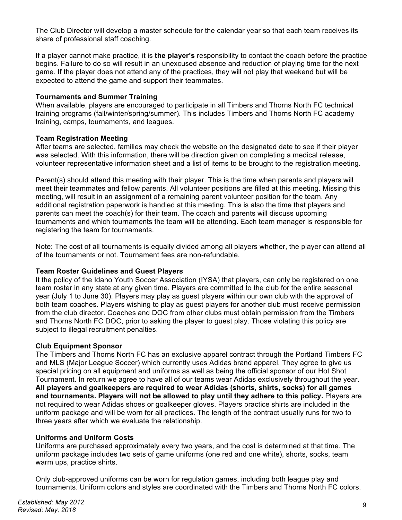The Club Director will develop a master schedule for the calendar year so that each team receives its share of professional staff coaching.

If a player cannot make practice, it is **the player's** responsibility to contact the coach before the practice begins. Failure to do so will result in an unexcused absence and reduction of playing time for the next game. If the player does not attend any of the practices, they will not play that weekend but will be expected to attend the game and support their teammates.

# **Tournaments and Summer Training**

When available, players are encouraged to participate in all Timbers and Thorns North FC technical training programs (fall/winter/spring/summer). This includes Timbers and Thorns North FC academy training, camps, tournaments, and leagues.

# **Team Registration Meeting**

After teams are selected, families may check the website on the designated date to see if their player was selected. With this information, there will be direction given on completing a medical release, volunteer representative information sheet and a list of items to be brought to the registration meeting.

Parent(s) should attend this meeting with their player. This is the time when parents and players will meet their teammates and fellow parents. All volunteer positions are filled at this meeting. Missing this meeting, will result in an assignment of a remaining parent volunteer position for the team. Any additional registration paperwork is handled at this meeting. This is also the time that players and parents can meet the coach(s) for their team. The coach and parents will discuss upcoming tournaments and which tournaments the team will be attending. Each team manager is responsible for registering the team for tournaments.

Note: The cost of all tournaments is equally divided among all players whether, the player can attend all of the tournaments or not. Tournament fees are non-refundable.

# **Team Roster Guidelines and Guest Players**

It the policy of the Idaho Youth Soccer Association (IYSA) that players, can only be registered on one team roster in any state at any given time. Players are committed to the club for the entire seasonal year (July 1 to June 30). Players may play as guest players within our own club with the approval of both team coaches. Players wishing to play as guest players for another club must receive permission from the club director. Coaches and DOC from other clubs must obtain permission from the Timbers and Thorns North FC DOC, prior to asking the player to guest play. Those violating this policy are subject to illegal recruitment penalties.

# **Club Equipment Sponsor**

The Timbers and Thorns North FC has an exclusive apparel contract through the Portland Timbers FC and MLS (Major League Soccer) which currently uses Adidas brand apparel. They agree to give us special pricing on all equipment and uniforms as well as being the official sponsor of our Hot Shot Tournament. In return we agree to have all of our teams wear Adidas exclusively throughout the year. **All players and goalkeepers are required to wear Adidas (shorts, shirts, socks) for all games and tournaments. Players will not be allowed to play until they adhere to this policy.** Players are not required to wear Adidas shoes or goalkeeper gloves. Players practice shirts are included in the uniform package and will be worn for all practices. The length of the contract usually runs for two to three years after which we evaluate the relationship.

# **Uniforms and Uniform Costs**

Uniforms are purchased approximately every two years, and the cost is determined at that time. The uniform package includes two sets of game uniforms (one red and one white), shorts, socks, team warm ups, practice shirts.

Only club-approved uniforms can be worn for regulation games, including both league play and tournaments. Uniform colors and styles are coordinated with the Timbers and Thorns North FC colors.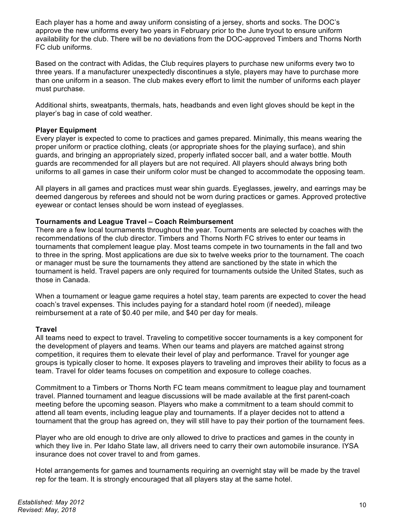Each player has a home and away uniform consisting of a jersey, shorts and socks. The DOC's approve the new uniforms every two years in February prior to the June tryout to ensure uniform availability for the club. There will be no deviations from the DOC-approved Timbers and Thorns North FC club uniforms.

Based on the contract with Adidas, the Club requires players to purchase new uniforms every two to three years. If a manufacturer unexpectedly discontinues a style, players may have to purchase more than one uniform in a season. The club makes every effort to limit the number of uniforms each player must purchase.

Additional shirts, sweatpants, thermals, hats, headbands and even light gloves should be kept in the player's bag in case of cold weather.

# **Player Equipment**

Every player is expected to come to practices and games prepared. Minimally, this means wearing the proper uniform or practice clothing, cleats (or appropriate shoes for the playing surface), and shin guards, and bringing an appropriately sized, properly inflated soccer ball, and a water bottle. Mouth guards are recommended for all players but are not required. All players should always bring both uniforms to all games in case their uniform color must be changed to accommodate the opposing team.

All players in all games and practices must wear shin guards. Eyeglasses, jewelry, and earrings may be deemed dangerous by referees and should not be worn during practices or games. Approved protective eyewear or contact lenses should be worn instead of eyeglasses.

# **Tournaments and League Travel – Coach Reimbursement**

There are a few local tournaments throughout the year. Tournaments are selected by coaches with the recommendations of the club director. Timbers and Thorns North FC strives to enter our teams in tournaments that complement league play. Most teams compete in two tournaments in the fall and two to three in the spring. Most applications are due six to twelve weeks prior to the tournament. The coach or manager must be sure the tournaments they attend are sanctioned by the state in which the tournament is held. Travel papers are only required for tournaments outside the United States, such as those in Canada.

When a tournament or league game requires a hotel stay, team parents are expected to cover the head coach's travel expenses. This includes paying for a standard hotel room (if needed), mileage reimbursement at a rate of \$0.40 per mile, and \$40 per day for meals.

# **Travel**

All teams need to expect to travel. Traveling to competitive soccer tournaments is a key component for the development of players and teams. When our teams and players are matched against strong competition, it requires them to elevate their level of play and performance. Travel for younger age groups is typically closer to home. It exposes players to traveling and improves their ability to focus as a team. Travel for older teams focuses on competition and exposure to college coaches.

Commitment to a Timbers or Thorns North FC team means commitment to league play and tournament travel. Planned tournament and league discussions will be made available at the first parent-coach meeting before the upcoming season. Players who make a commitment to a team should commit to attend all team events, including league play and tournaments. If a player decides not to attend a tournament that the group has agreed on, they will still have to pay their portion of the tournament fees.

Player who are old enough to drive are only allowed to drive to practices and games in the county in which they live in. Per Idaho State law, all drivers need to carry their own automobile insurance. IYSA insurance does not cover travel to and from games.

Hotel arrangements for games and tournaments requiring an overnight stay will be made by the travel rep for the team. It is strongly encouraged that all players stay at the same hotel.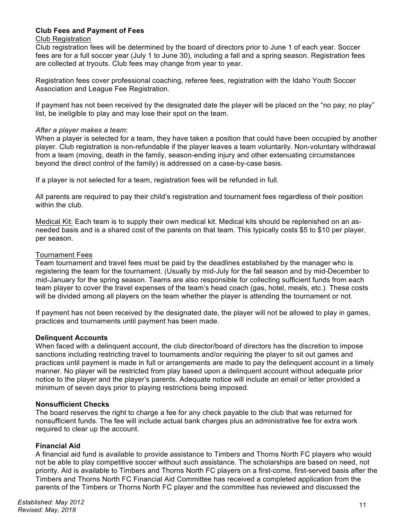# **Club Fees and Payment of Fees**

#### Club Registration

Club registration fees will be determined by the board of directors prior to June 1 of each year. Soccer fees are for a full soccer year (July 1 to June 30), including a fall and a spring season. Registration fees are collected at tryouts. Club fees may change from year to year.

Registration fees cover professional coaching, referee fees, registration with the Idaho Youth Soccer Association and League Fee Registration.

If payment has not been received by the designated date the player will be placed on the "no pay; no play" list, be ineligible to play and may lose their spot on the team.

#### *After a player makes a team*:

When a player is selected for a team, they have taken a position that could have been occupied by another player. Club registration is non-refundable if the player leaves a team voluntarily. Non-voluntary withdrawal from a team (moving, death in the family, season-ending injury and other extenuating circumstances beyond the direct control of the family) is addressed on a case-by-case basis.

If a player is not selected for a team, registration fees will be refunded in full.

All parents are required to pay their child's registration and tournament fees regardless of their position within the club.

Medical Kit: Each team is to supply their own medical kit. Medical kits should be replenished on an asneeded basis and is a shared cost of the parents on that team. This typically costs \$5 to \$10 per player, per season.

#### Tournament Fees

Team tournament and travel fees must be paid by the deadlines established by the manager who is registering the team for the tournament. (Usually by mid-July for the fall season and by mid-December to mid-January for the spring season. Teams are also responsible for collecting sufficient funds from each team player to cover the travel expenses of the team's head coach (gas, hotel, meals, etc.). These costs will be divided among all players on the team whether the player is attending the tournament or not.

If payment has not been received by the designated date, the player will not be allowed to play in games, practices and tournaments until payment has been made.

# **Delinquent Accounts**

When faced with a delinquent account, the club director/board of directors has the discretion to impose sanctions including restricting travel to tournaments and/or requiring the player to sit out games and practices until payment is made in full or arrangements are made to pay the delinquent account in a timely manner. No player will be restricted from play based upon a delinquent account without adequate prior notice to the player and the player's parents. Adequate notice will include an email or letter provided a minimum of seven days prior to playing restrictions being imposed.

#### **Nonsufficient Checks**

The board reserves the right to charge a fee for any check payable to the club that was returned for nonsufficient funds. The fee will include actual bank charges plus an administrative fee for extra work required to clear up the account.

# **Financial Aid**

A financial aid fund is available to provide assistance to Timbers and Thorns North FC players who would not be able to play competitive soccer without such assistance. The scholarships are based on need, not priority. Aid is available to Timbers and Thorns North FC players on a first-come, first-served basis after the Timbers and Thorns North FC Financial Aid Committee has received a completed application from the parents of the Timbers or Thorns North FC player and the committee has reviewed and discussed the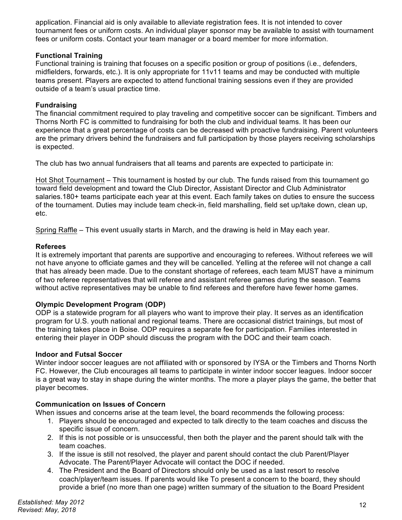application. Financial aid is only available to alleviate registration fees. It is not intended to cover tournament fees or uniform costs. An individual player sponsor may be available to assist with tournament fees or uniform costs. Contact your team manager or a board member for more information.

# **Functional Training**

Functional training is training that focuses on a specific position or group of positions (i.e., defenders, midfielders, forwards, etc.). It is only appropriate for 11v11 teams and may be conducted with multiple teams present. Players are expected to attend functional training sessions even if they are provided outside of a team's usual practice time.

# **Fundraising**

The financial commitment required to play traveling and competitive soccer can be significant. Timbers and Thorns North FC is committed to fundraising for both the club and individual teams. It has been our experience that a great percentage of costs can be decreased with proactive fundraising. Parent volunteers are the primary drivers behind the fundraisers and full participation by those players receiving scholarships is expected.

The club has two annual fundraisers that all teams and parents are expected to participate in:

Hot Shot Tournament – This tournament is hosted by our club. The funds raised from this tournament go toward field development and toward the Club Director, Assistant Director and Club Administrator salaries.180+ teams participate each year at this event. Each family takes on duties to ensure the success of the tournament. Duties may include team check-in, field marshalling, field set up/take down, clean up, etc.

Spring Raffle – This event usually starts in March, and the drawing is held in May each year.

# **Referees**

It is extremely important that parents are supportive and encouraging to referees. Without referees we will not have anyone to officiate games and they will be cancelled. Yelling at the referee will not change a call that has already been made. Due to the constant shortage of referees, each team MUST have a minimum of two referee representatives that will referee and assistant referee games during the season. Teams without active representatives may be unable to find referees and therefore have fewer home games.

# **Olympic Development Program (ODP)**

ODP is a statewide program for all players who want to improve their play. It serves as an identification program for U.S. youth national and regional teams. There are occasional district trainings, but most of the training takes place in Boise. ODP requires a separate fee for participation. Families interested in entering their player in ODP should discuss the program with the DOC and their team coach.

# **Indoor and Futsal Soccer**

Winter indoor soccer leagues are not affiliated with or sponsored by IYSA or the Timbers and Thorns North FC. However, the Club encourages all teams to participate in winter indoor soccer leagues. Indoor soccer is a great way to stay in shape during the winter months. The more a player plays the game, the better that player becomes.

# **Communication on Issues of Concern**

When issues and concerns arise at the team level, the board recommends the following process:

- 1. Players should be encouraged and expected to talk directly to the team coaches and discuss the specific issue of concern.
- 2. If this is not possible or is unsuccessful, then both the player and the parent should talk with the team coaches.
- 3. If the issue is still not resolved, the player and parent should contact the club Parent/Player Advocate. The Parent/Player Advocate will contact the DOC if needed.
- 4. The President and the Board of Directors should only be used as a last resort to resolve coach/player/team issues. If parents would like To present a concern to the board, they should provide a brief (no more than one page) written summary of the situation to the Board President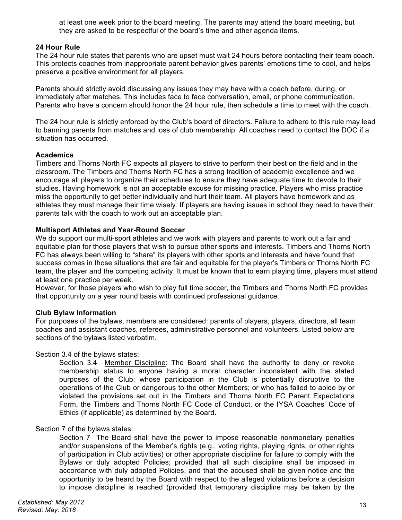at least one week prior to the board meeting. The parents may attend the board meeting, but they are asked to be respectful of the board's time and other agenda items.

#### **24 Hour Rule**

The 24 hour rule states that parents who are upset must wait 24 hours before contacting their team coach. This protects coaches from inappropriate parent behavior gives parents' emotions time to cool, and helps preserve a positive environment for all players.

Parents should strictly avoid discussing any issues they may have with a coach before, during, or immediately after matches. This includes face to face conversation, email, or phone communication. Parents who have a concern should honor the 24 hour rule, then schedule a time to meet with the coach.

The 24 hour rule is strictly enforced by the Club's board of directors. Failure to adhere to this rule may lead to banning parents from matches and loss of club membership. All coaches need to contact the DOC if a situation has occurred.

#### **Academics**

Timbers and Thorns North FC expects all players to strive to perform their best on the field and in the classroom. The Timbers and Thorns North FC has a strong tradition of academic excellence and we encourage all players to organize their schedules to ensure they have adequate time to devote to their studies. Having homework is not an acceptable excuse for missing practice. Players who miss practice miss the opportunity to get better individually and hurt their team. All players have homework and as athletes they must manage their time wisely. If players are having issues in school they need to have their parents talk with the coach to work out an acceptable plan.

#### **Multisport Athletes and Year-Round Soccer**

We do support our multi-sport athletes and we work with players and parents to work out a fair and equitable plan for those players that wish to pursue other sports and interests. Timbers and Thorns North FC has always been willing to "share" its players with other sports and interests and have found that success comes in those situations that are fair and equitable for the player's Timbers or Thorns North FC team, the player and the competing activity. It must be known that to earn playing time, players must attend at least one practice per week.

However, for those players who wish to play full time soccer, the Timbers and Thorns North FC provides that opportunity on a year round basis with continued professional guidance.

# **Club Bylaw Information**

For purposes of the bylaws, members are considered: parents of players, players, directors, all team coaches and assistant coaches, referees, administrative personnel and volunteers. Listed below are sections of the bylaws listed verbatim.

Section 3.4 of the bylaws states:

Section 3.4 Member Discipline: The Board shall have the authority to deny or revoke membership status to anyone having a moral character inconsistent with the stated purposes of the Club; whose participation in the Club is potentially disruptive to the operations of the Club or dangerous to the other Members; or who has failed to abide by or violated the provisions set out in the Timbers and Thorns North FC Parent Expectations Form, the Timbers and Thorns North FC Code of Conduct, or the IYSA Coaches' Code of Ethics (if applicable) as determined by the Board.

#### Section 7 of the bylaws states:

Section 7 The Board shall have the power to impose reasonable nonmonetary penalties and/or suspensions of the Member's rights (e.g., voting rights, playing rights, or other rights of participation in Club activities) or other appropriate discipline for failure to comply with the Bylaws or duly adopted Policies; provided that all such discipline shall be imposed in accordance with duly adopted Policies, and that the accused shall be given notice and the opportunity to be heard by the Board with respect to the alleged violations before a decision to impose discipline is reached (provided that temporary discipline may be taken by the